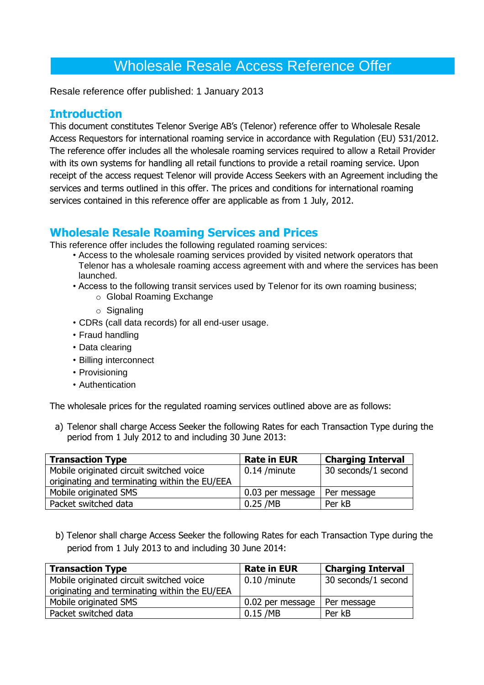Resale reference offer published: 1 January 2013

### **Introduction**

This document constitutes Telenor Sverige AB's (Telenor) reference offer to Wholesale Resale Access Requestors for international roaming service in accordance with Regulation (EU) 531/2012. The reference offer includes all the wholesale roaming services required to allow a Retail Provider with its own systems for handling all retail functions to provide a retail roaming service. Upon receipt of the access request Telenor will provide Access Seekers with an Agreement including the services and terms outlined in this offer. The prices and conditions for international roaming services contained in this reference offer are applicable as from 1 July, 2012.

# **Wholesale Resale Roaming Services and Prices**

This reference offer includes the following regulated roaming services:

- Access to the wholesale roaming services provided by visited network operators that Telenor has a wholesale roaming access agreement with and where the services has been launched.
- Access to the following transit services used by Telenor for its own roaming business;
	- o Global Roaming Exchange
	- o Signaling
- CDRs (call data records) for all end-user usage.
- Fraud handling
- Data clearing
- Billing interconnect
- Provisioning
- Authentication

The wholesale prices for the regulated roaming services outlined above are as follows:

a) Telenor shall charge Access Seeker the following Rates for each Transaction Type during the period from 1 July 2012 to and including 30 June 2013:

| <b>Transaction Type</b>                       | <b>Rate in EUR</b> | <b>Charging Interval</b> |
|-----------------------------------------------|--------------------|--------------------------|
| Mobile originated circuit switched voice      | 0.14 /minute       | 30 seconds/1 second      |
| originating and terminating within the EU/EEA |                    |                          |
| Mobile originated SMS                         | 0.03 per message   | Per message              |
| Packet switched data                          | $0.25$ /MB         | Per kB                   |

b) Telenor shall charge Access Seeker the following Rates for each Transaction Type during the period from 1 July 2013 to and including 30 June 2014:

| <b>Transaction Type</b>                       | <b>Rate in EUR</b> | <b>Charging Interval</b> |
|-----------------------------------------------|--------------------|--------------------------|
| Mobile originated circuit switched voice      | 0.10 /minute       | 30 seconds/1 second      |
| originating and terminating within the EU/EEA |                    |                          |
| Mobile originated SMS                         | 0.02 per message   | Per message              |
| Packet switched data                          | $0.15$ /MB         | Per kB                   |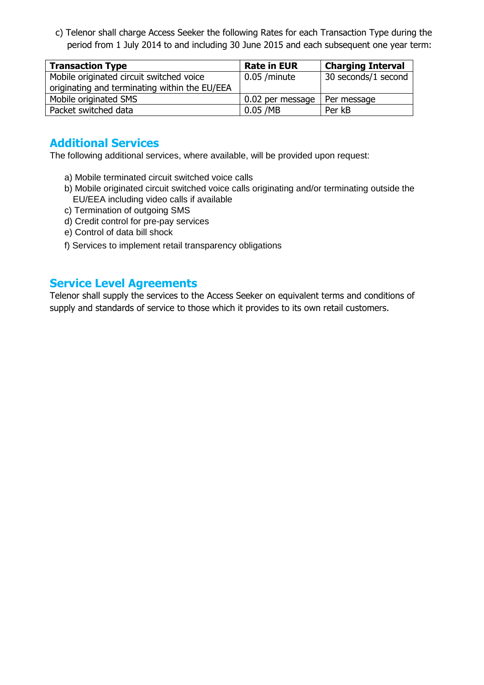c) Telenor shall charge Access Seeker the following Rates for each Transaction Type during the period from 1 July 2014 to and including 30 June 2015 and each subsequent one year term:

| <b>Transaction Type</b>                       | <b>Rate in EUR</b> | <b>Charging Interval</b> |
|-----------------------------------------------|--------------------|--------------------------|
| Mobile originated circuit switched voice      | $0.05$ /minute     | 30 seconds/1 second      |
| originating and terminating within the EU/EEA |                    |                          |
| Mobile originated SMS                         | 0.02 per message   | Per message              |
| Packet switched data                          | $0.05$ /MB         | Per kB                   |

# **Additional Services**

The following additional services, where available, will be provided upon request:

- a) Mobile terminated circuit switched voice calls
- b) Mobile originated circuit switched voice calls originating and/or terminating outside the EU/EEA including video calls if available
- c) Termination of outgoing SMS
- d) Credit control for pre-pay services
- e) Control of data bill shock
- f) Services to implement retail transparency obligations

### **Service Level Agreements**

Telenor shall supply the services to the Access Seeker on equivalent terms and conditions of supply and standards of service to those which it provides to its own retail customers.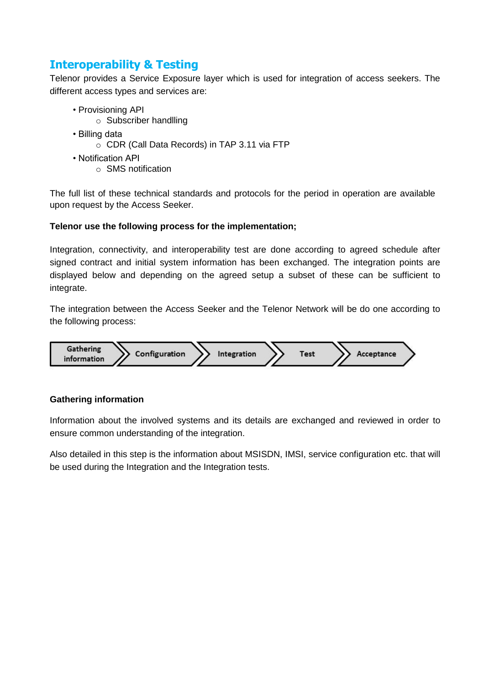# **Interoperability & Testing**

Telenor provides a Service Exposure layer which is used for integration of access seekers. The different access types and services are:

- Provisioning API
	- o Subscriber handlling
- Billing data
	- o CDR (Call Data Records) in TAP 3.11 via FTP
- Notification API
	- o SMS notification

The full list of these technical standards and protocols for the period in operation are available upon request by the Access Seeker.

### **Telenor use the following process for the implementation;**

Integration, connectivity, and interoperability test are done according to agreed schedule after signed contract and initial system information has been exchanged. The integration points are displayed below and depending on the agreed setup a subset of these can be sufficient to integrate.

The integration between the Access Seeker and the Telenor Network will be do one according to the following process:



### **Gathering information**

Information about the involved systems and its details are exchanged and reviewed in order to ensure common understanding of the integration.

Also detailed in this step is the information about MSISDN, IMSI, service configuration etc. that will be used during the Integration and the Integration tests.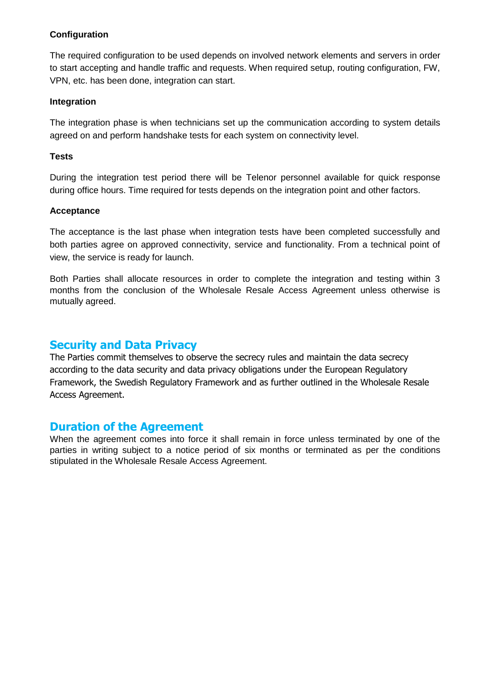### **Configuration**

The required configuration to be used depends on involved network elements and servers in order to start accepting and handle traffic and requests. When required setup, routing configuration, FW, VPN, etc. has been done, integration can start.

#### **Integration**

The integration phase is when technicians set up the communication according to system details agreed on and perform handshake tests for each system on connectivity level.

#### **Tests**

During the integration test period there will be Telenor personnel available for quick response during office hours. Time required for tests depends on the integration point and other factors.

#### **Acceptance**

The acceptance is the last phase when integration tests have been completed successfully and both parties agree on approved connectivity, service and functionality. From a technical point of view, the service is ready for launch.

Both Parties shall allocate resources in order to complete the integration and testing within 3 months from the conclusion of the Wholesale Resale Access Agreement unless otherwise is mutually agreed.

### **Security and Data Privacy**

The Parties commit themselves to observe the secrecy rules and maintain the data secrecy according to the data security and data privacy obligations under the European Regulatory Framework, the Swedish Regulatory Framework and as further outlined in the Wholesale Resale Access Agreement.

### **Duration of the Agreement**

When the agreement comes into force it shall remain in force unless terminated by one of the parties in writing subject to a notice period of six months or terminated as per the conditions stipulated in the Wholesale Resale Access Agreement.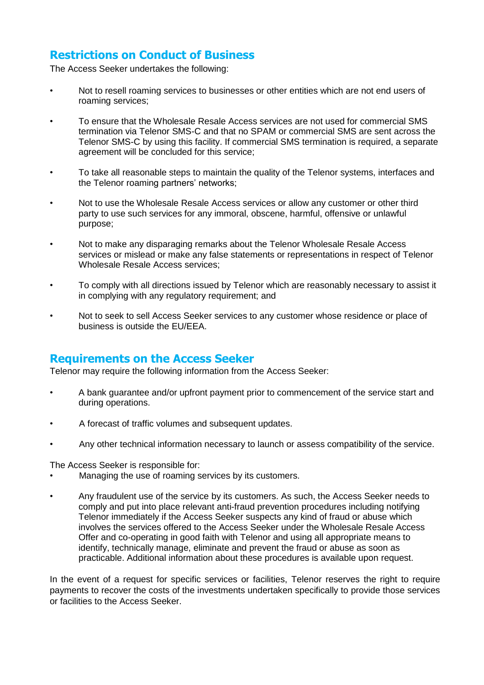# **Restrictions on Conduct of Business**

The Access Seeker undertakes the following:

- Not to resell roaming services to businesses or other entities which are not end users of roaming services;
- To ensure that the Wholesale Resale Access services are not used for commercial SMS termination via Telenor SMS-C and that no SPAM or commercial SMS are sent across the Telenor SMS-C by using this facility. If commercial SMS termination is required, a separate agreement will be concluded for this service;
- To take all reasonable steps to maintain the quality of the Telenor systems, interfaces and the Telenor roaming partners' networks;
- Not to use the Wholesale Resale Access services or allow any customer or other third party to use such services for any immoral, obscene, harmful, offensive or unlawful purpose;
- Not to make any disparaging remarks about the Telenor Wholesale Resale Access services or mislead or make any false statements or representations in respect of Telenor Wholesale Resale Access services;
- To comply with all directions issued by Telenor which are reasonably necessary to assist it in complying with any regulatory requirement; and
- Not to seek to sell Access Seeker services to any customer whose residence or place of business is outside the EU/EEA.

### **Requirements on the Access Seeker**

Telenor may require the following information from the Access Seeker:

- A bank guarantee and/or upfront payment prior to commencement of the service start and during operations.
- A forecast of traffic volumes and subsequent updates.
- Any other technical information necessary to launch or assess compatibility of the service.

The Access Seeker is responsible for:

- Managing the use of roaming services by its customers.
- Any fraudulent use of the service by its customers. As such, the Access Seeker needs to comply and put into place relevant anti-fraud prevention procedures including notifying Telenor immediately if the Access Seeker suspects any kind of fraud or abuse which involves the services offered to the Access Seeker under the Wholesale Resale Access Offer and co-operating in good faith with Telenor and using all appropriate means to identify, technically manage, eliminate and prevent the fraud or abuse as soon as practicable. Additional information about these procedures is available upon request.

In the event of a request for specific services or facilities, Telenor reserves the right to require payments to recover the costs of the investments undertaken specifically to provide those services or facilities to the Access Seeker.